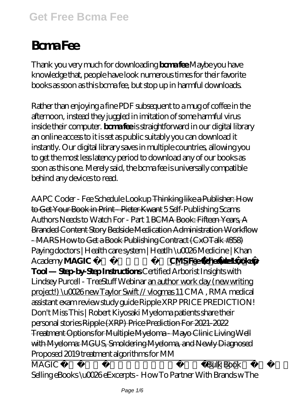# **Bcma Fee**

Thank you very much for downloading **bcma fee**.Maybe you have knowledge that, people have look numerous times for their favorite books as soon as this bcma fee, but stop up in harmful downloads.

Rather than enjoying a fine PDF subsequent to a mug of coffee in the afternoon, instead they juggled in imitation of some harmful virus inside their computer. **bcma fee** is straightforward in our digital library an online access to it is set as public suitably you can download it instantly. Our digital library saves in multiple countries, allowing you to get the most less latency period to download any of our books as soon as this one. Merely said, the bcma fee is universally compatible behind any devices to read.

*AAPC Coder - Fee Schedule Lookup* Thinking like a Publisher: How to Get Your Book in Print - Pieter Kwant *5 Self-Publishing Scams Authors Needs to Watch For - Part 1* BCMA Book: Fifteen Years, A Branded Content Story Bedside Medication Administration Workflow - MARS How to Get a Book Publishing Contract (CxOTalk #358) *Paying doctors | Health care system | Heatlh \u0026 Medicine | Khan Academy* **MAGIC ⭐ Tout conte fée ! CMS Fee Schedule Lookup Tool — Step-by-Step Instructions** *Certified Arborist Insights with Lindsey Purcell - TreeStuff Webinar* an author work day (new writing project!) \u0026 new Taylor Swift // vlogmas 11 CMA , RMA medical assistant exam review study guide *Ripple XRP PRICE PREDICTION! Don't Miss This | Robert Kiyosaki Myeloma patients share their personal stories* Ripple (XRP) Price Prediction For 2021-2022 Treatment Options for Multiple Myeloma - Mayo Clinic Living Well with Myeloma: MGUS, Smoldering Myeloma, and Newly Diagnosed *Proposed 2019 treatment algorithms for MM*

MAGIC ⭐ Le marchand de sable ⭐ Compilation HD*Bulk Book Selling eBooks \u0026 eExcerpts - How To Partner With Brands w The*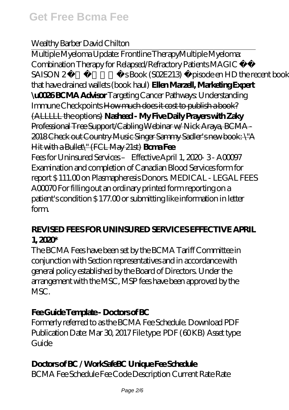#### *Wealthy Barber David Chilton*

Multiple Myeloma Update: Frontline Therapy*Multiple Myeloma: Combination Therapy for Relapsed/Refractory Patients* MAGIC ⭐ SAISON 2 Fee's Book (SO2E213) Épisode en HD the recent books that have drained wallets (book haul) **Ellen Marzell, Marketing Expert \u0026 BCMA Advisor** Targeting Cancer Pathways: Understanding Immune Checkpoints How much does it cost to publish a book? (ALLLLL the options) **Nasheed - My Five Daily Prayers with Zaky** Professional Tree Support/Cabling Webinar w/ Nick Araya, BCMA - 2018 Check out Country Music Singer Sammy Sadler's new book: \"A Hit with a Bullet\" (FCL May 21st) **Bcma Fee** Fees for Uninsured Services – Effective April 1, 2020- 3 - A00097 Examination and completion of Canadian Blood Services form for report \$ 111.00 on Plasmapheresis Donors. MEDICAL - LEGAL FEES A00070 For filling out an ordinary printed form reporting on a patient's condition \$ 177.00 or submitting like information in letter form.

#### **REVISED FEES FOR UNINSURED SERVICES EFFECTIVE APRIL 1, 2020\***

The BCMA Fees have been set by the BCMA Tariff Committee in conjunction with Section representatives and in accordance with general policy established by the Board of Directors. Under the arrangement with the MSC, MSP fees have been approved by the MSC.

#### **Fee Guide Template - Doctors of BC**

Formerly referred to as the BCMA Fee Schedule. Download PDF Publication Date: Mar 30, 2017 File type: PDF (60KB) Asset type:  $G$ uide

#### **Doctors of BC / WorkSafeBC Unique Fee Schedule**

BCMA Fee Schedule Fee Code Description Current Rate Rate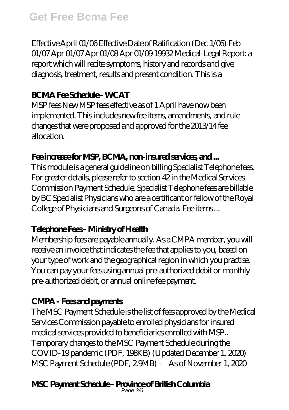Effective April 01/06 Effective Date of Ratification (Dec 1/06) Feb 01/07 Apr 01/07 Apr 01/08 Apr 01/09 19932 Medical-Legal Report: a report which will recite symptoms, history and records and give diagnosis, treatment, results and present condition. This is a

#### **BCMA Fee Schedule - WCAT**

MSP fees New MSP fees effective as of 1 April have now been implemented. This includes new fee items, amendments, and rule changes that were proposed and approved for the 2013/14 fee allocation.

#### Fee increase for MSP, BCMA, non-insured services, and ...

This module is a general guideline on billing Specialist Telephone fees. For greater details, please refer to section 42 in the Medical Services Commission Payment Schedule. Specialist Telephone fees are billable by BC Specialist Physicians who are a certificant or fellow of the Royal College of Physicians and Surgeons of Canada. Fee items ...

## **Telephone Fees - Ministry of Health**

Membership fees are payable annually. As a CMPA member, you will receive an invoice that indicates the fee that applies to you, based on your type of work and the geographical region in which you practise. You can pay your fees using annual pre-authorized debit or monthly pre-authorized debit, or annual online fee payment.

## **CMPA - Fees and payments**

The MSC Payment Schedule is the list of fees approved by the Medical Services Commission payable to enrolled physicians for insured medical services provided to beneficiaries enrolled with MSP.. Temporary changes to the MSC Payment Schedule during the COVID-19 pandemic (PDF, 198KB) (Updated December 1, 2020) MSC Payment Schedule (PDF, 2.9MB) – As of November 1, 2020

# **MSC Payment Schedule - Province of British Columbia** Page 3/6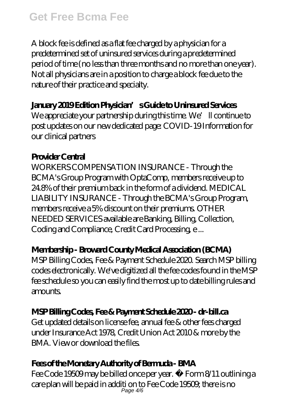A block fee is defined as a flat fee charged by a physician for a predetermined set of uninsured services during a predetermined period of time (no less than three months and no more than one year). Not all physicians are in a position to charge a block fee due to the nature of their practice and specialty.

#### **January 2019 Edition Physician's Guide to Uninsured Services**

We appreciate your partnership during this time. We'll continue to post updates on our new dedicated page: COVID-19 Information for our clinical partners

#### **Provider Central**

WORKERS COMPENSATION INSURANCE - Through the BCMA's Group Program with OptaComp, members receive up to 24.8% of their premium back in the form of a dividend. MEDICAL LIABILITY INSURANCE - Through the BCMA's Group Program, members receive a 5% discount on their premiums. OTHER NEEDED SERVICES available are Banking, Billing, Collection, Coding and Compliance, Credit Card Processing, e ...

#### **Membership - Broward County Medical Association (BCMA)**

MSP Billing Codes, Fee & Payment Schedule 2020. Search MSP billing codes electronically. We've digitized all the fee codes found in the MSP fee schedule so you can easily find the most up to date billing rules and amounts.

## **MSP Billing Codes, Fee & Payment Schedule 2020 - dr-bill.ca**

Get updated details on license fee, annual fee & other fees charged under Insurance Act 1978, Credit Union Act 2010 & more by the BMA. View or download the files.

## **Fees of the Monetary Authority of Bermuda - BMA**

Fee Code 19509 may be billed once per year. • Form 8/11 outlining a care plan will be paid in additi on to Fee Code 19509; there is no Page 4/6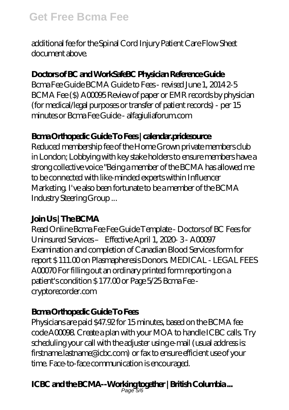additional fee for the Spinal Cord Injury Patient Care Flow Sheet document above.

#### **Doctors of BC and WorkSafeBC Physician Reference Guide**

Bcma Fee Guide BCMA Guide to Fees - revised June 1, 2014 2-5 BCMA Fee (\$) A00095 Review of paper or EMR records by physician (for medical/legal purposes or transfer of patient records) - per 15 minutes or Bcma Fee Guide - alfagiuliaforum.com

#### **Bcma Orthopedic Guide To Fees | calendar.pridesource**

Reduced membership fee of the Home Grown private members club in London; Lobbying with key stake holders to ensure members have a strong collective voice "Being a member of the BCMA has allowed me to be connected with like-minded experts within Influencer Marketing. I've also been fortunate to be a member of the BCMA Industry Steering Group ...

#### **Join Us | The BCMA**

Read Online Bcma Fee Fee Guide Template - Doctors of BC Fees for Uninsured Services – Effective April 1, 2020- 3 - A00097 Examination and completion of Canadian Blood Services form for report \$ 111.00 on Plasmapheresis Donors. MEDICAL - LEGAL FEES A00070 For filling out an ordinary printed form reporting on a patient's condition \$177.00 or Page 5/25 Bcma Fee cryptorecorder.com

## **Bcma Orthopedic Guide To Fees**

Physicians are paid \$47.92 for 15 minutes, based on the BCMA fee code A00098. Create a plan with your MOA to handle ICBC calls. Try scheduling your call with the adjuster using e-mail (usual address is: firstname.lastname@icbc.com) or fax to ensure efficient use of your time. Face-to-face communication is encouraged.

# **ICBC and the BCMA--Working together | British Columbia ...** Page 5/6